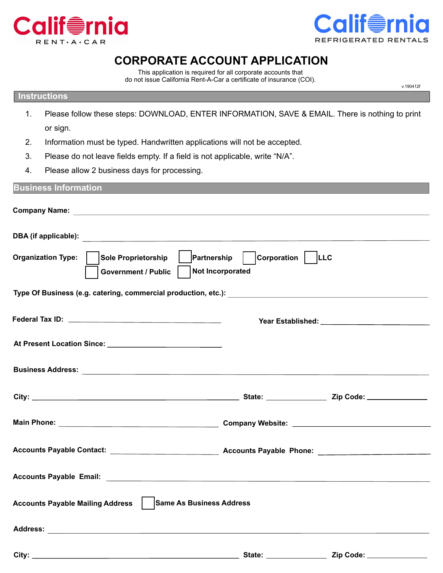



v.190412f

## **CORPORATE ACCOUNT APPLICATION**

This application is required for all corporate accounts that do not issue California Rent-A-Car a certificate of insurance (COI).

## **Instructions**

- 1. Please follow these steps: DOWNLOAD, ENTER INFORMATION, SAVE & EMAIL. There is nothing to print or sign.
- 2. Information must be typed. Handwritten applications will not be accepted.
- 3. Please do not leave fields empty. If a field is not applicable, write "N/A".
- 4. Please allow 2 business days for processing.

| <b>Business Information</b>                                       |                                                     |
|-------------------------------------------------------------------|-----------------------------------------------------|
|                                                                   |                                                     |
|                                                                   |                                                     |
| Organization Type:   Sole Proprietorship<br>  Government / Public | Partnership   Corporation   LLC<br>Not Incorporated |
|                                                                   |                                                     |
|                                                                   |                                                     |
|                                                                   |                                                     |
|                                                                   |                                                     |
|                                                                   |                                                     |
|                                                                   |                                                     |
|                                                                   |                                                     |
|                                                                   |                                                     |
| Accounts Payable Mailing Address   Same As Business Address       |                                                     |
|                                                                   |                                                     |
|                                                                   |                                                     |